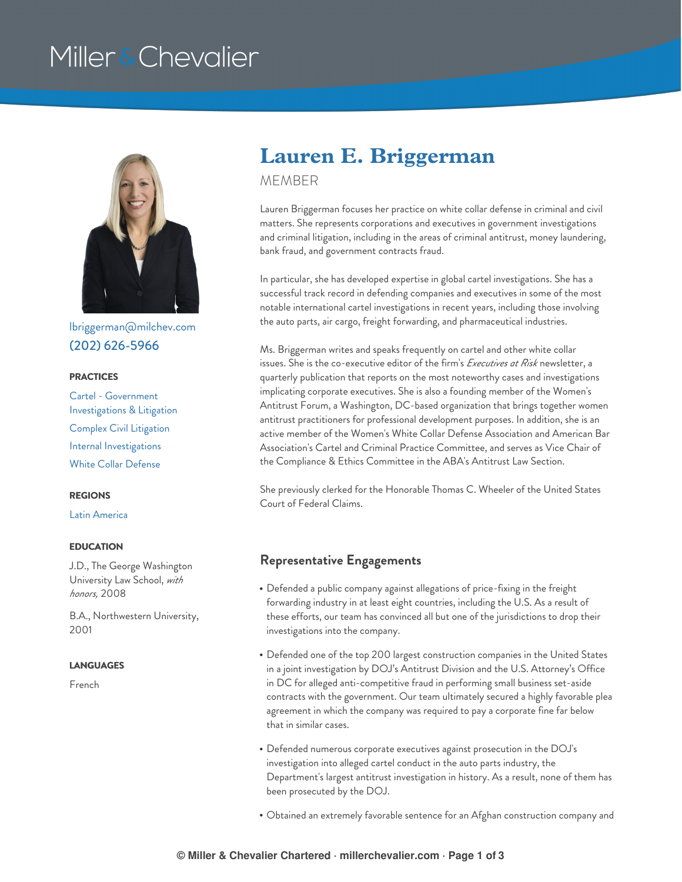# Miller & Chevalier



[lbriggerman@milchev.com](mailto:lbriggerman@milchev.com) (202) [626-5966](tel:202-626-5966)

#### **PRACTICES**

Cartel - Government [Investigations](https://www.millerchevalier.com/practice-area/cartel-government-investigations-litigation) & Litigation Complex Civil [Litigation](https://www.millerchevalier.com/practice-area/complex-civil-litigation) Internal [Investigations](https://www.millerchevalier.com/practice-area/internal-investigations) White Collar [Defense](https://www.millerchevalier.com/practice-area/white-collar-defense)

#### **REGIONS**

Latin [America](https://www.millerchevalier.com/region/latin-america)

#### **EDUCATION**

J.D., The George Washington University Law School, *with honors,* 2008

B.A., Northwestern University, 2001

#### **LANGUAGES**

French

## **Lauren E. Briggerman**

MEMBER

Lauren Briggerman focuses her practice on white collar defense in criminal and civil matters. She represents corporations and executives in government investigations and criminal litigation, including in the areas of criminal antitrust, money laundering, bank fraud, and government contracts fraud.

In particular, she has developed expertise in global cartel investigations. She has a successful track record in defending companies and executives in some of the most notable international cartel investigations in recent years, including those involving the auto parts, air cargo, freight forwarding, and pharmaceutical industries.

Ms. Briggerman writes and speaks frequently on cartel and other white collar issues. She is the co-executive editor of the firm's *Executives at Risk* newsletter, a quarterly publication that reports on the most noteworthy cases and investigations implicating corporate executives. She is also a founding member of the Women's Antitrust Forum, a Washington, DC-based organization that brings together women antitrust practitioners for professional development purposes. In addition, she is an active member of the Women's White Collar Defense Association and American Bar Association's Cartel and Criminal Practice Committee, and serves as Vice Chair of the Compliance & Ethics Committee in the ABA's Antitrust Law Section.

She previously clerked for the Honorable Thomas C. Wheeler of the United States Court of Federal Claims.

#### **Representative Engagements**

- Defended a public company against allegations of price-fixing in the freight forwarding industry in at least eight countries, including the U.S. As a result of these efforts, our team has convinced all but one of the jurisdictions to drop their investigations into the company.
- Defended one of the top 200 largest construction companies in the United States in a joint investigation by DOJ's Antitrust Division and the U.S. Attorney's Office in DC for alleged anti-competitive fraud in performing small business set-aside contracts with the government. Our team ultimately secured a highly favorable plea agreement in which the company was required to pay a corporate fine far below that in similar cases.
- Defended numerous corporate executives against prosecution in the DOJ's investigation into alleged cartel conduct in the auto parts industry, the Department's largest antitrust investigation in history. As a result, none of them has been prosecuted by the DOJ.
- Obtained an extremely favorable sentence for an Afghan construction company and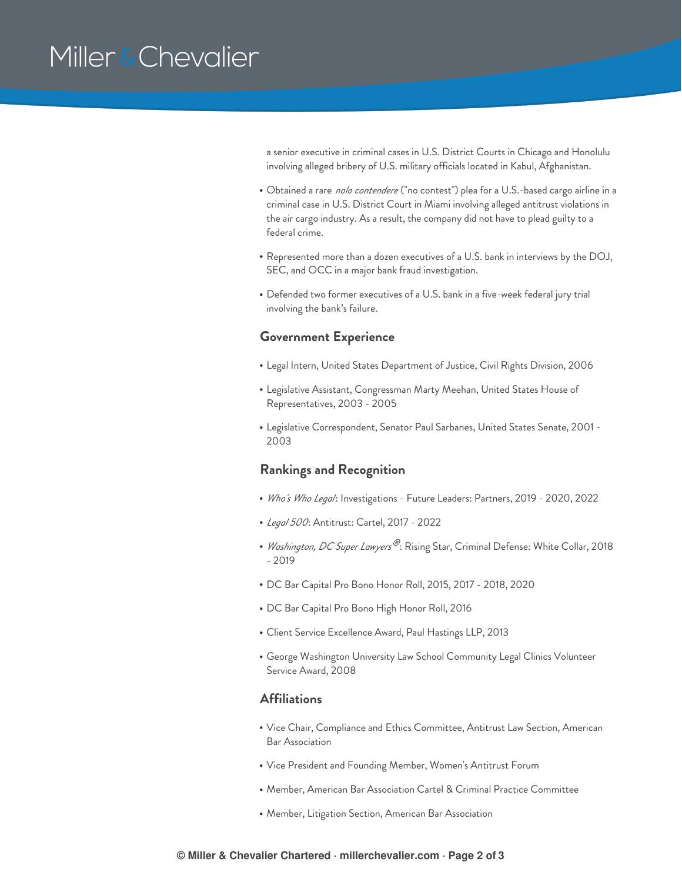# Miller & Chevalier

a senior executive in criminal cases in U.S. District Courts in Chicago and Honolulu involving alleged bribery of U.S. military officials located in Kabul, Afghanistan.

- Obtained a rare *nolo contendere* ("no contest") plea for a U.S.-based cargo airline in a criminal case in U.S. District Court in Miami involving alleged antitrust violations in the air cargo industry. As a result, the company did not have to plead guilty to a federal crime.
- Represented more than a dozen executives of a U.S. bank in interviews by the DOJ, SEC, and OCC in a major bank fraud investigation.
- Defended two former executives of a U.S. bank in a five-week federal jury trial involving the bank's failure.

#### **Government Experience**

- Legal Intern, United States Department of Justice, Civil Rights Division, 2006
- Legislative Assistant, Congressman Marty Meehan, United States House of Representatives, 2003 - 2005
- Legislative Correspondent, Senator Paul Sarbanes, United States Senate, 2001 2003

#### **Rankings and Recognition**

- *Who's Who Legal*: Investigations Future Leaders: Partners, 2019 2020, 2022
- *Legal 500*: Antitrust: Cartel, 2017 2022
- *Washington, DC Super Lawyers®*: Rising Star, Criminal Defense: White Collar, 2018 - 2019
- DC Bar Capital Pro Bono Honor Roll, 2015, 2017 2018, 2020
- DC Bar Capital Pro Bono High Honor Roll, 2016
- Client Service Excellence Award, Paul Hastings LLP, 2013
- George Washington University Law School Community Legal Clinics Volunteer Service Award, 2008

### **Affiliations**

- Vice Chair, Compliance and Ethics Committee, Antitrust Law Section, American Bar Association
- Vice President and Founding Member, Women's Antitrust Forum
- Member, American Bar Association Cartel & Criminal Practice Committee
- Member, Litigation Section, American Bar Association